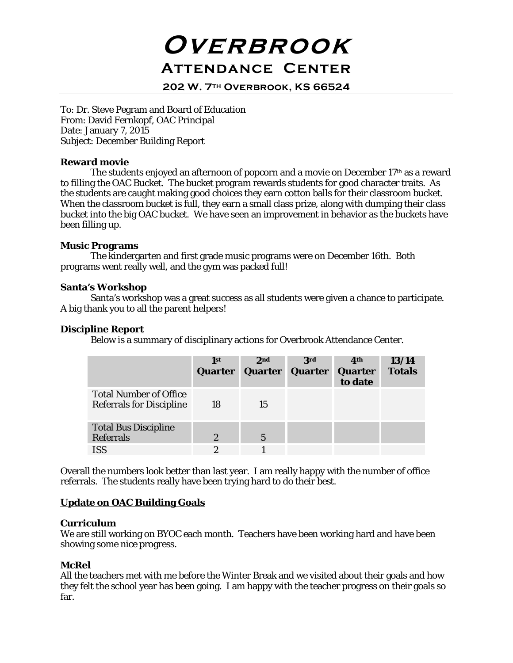# **Overbrook Attendance Center**

**202 W. 7th Overbrook, KS 66524**

To: Dr. Steve Pegram and Board of Education From: David Fernkopf, OAC Principal Date: January 7, 2015 Subject: December Building Report

## **Reward movie**

The students enjoyed an afternoon of popcorn and a movie on December 17<sup>th</sup> as a reward to filling the OAC Bucket. The bucket program rewards students for good character traits. As the students are caught making good choices they earn cotton balls for their classroom bucket. When the classroom bucket is full, they earn a small class prize, along with dumping their class bucket into the big OAC bucket. We have seen an improvement in behavior as the buckets have been filling up.

## **Music Programs**

The kindergarten and first grade music programs were on December 16th. Both programs went really well, and the gym was packed full!

## **Santa's Workshop**

Santa's workshop was a great success as all students were given a chance to participate. A big thank you to all the parent helpers!

## **Discipline Report**

Below is a summary of disciplinary actions for Overbrook Attendance Center.

|                                                                  | 1st<br>Quarter | 2nd<br>Quarter | <b>3rd</b><br>Quarter | 4 <sup>th</sup><br>Quarter<br>to date | 13/14<br><b>Totals</b> |
|------------------------------------------------------------------|----------------|----------------|-----------------------|---------------------------------------|------------------------|
| <b>Total Number of Office</b><br><b>Referrals for Discipline</b> | 18             | 15             |                       |                                       |                        |
| <b>Total Bus Discipline</b><br><b>Referrals</b>                  | $\overline{2}$ | $\overline{5}$ |                       |                                       |                        |
| <b>ISS</b>                                                       | 2              |                |                       |                                       |                        |

Overall the numbers look better than last year. I am really happy with the number of office referrals. The students really have been trying hard to do their best.

## **Update on OAC Building Goals**

#### **Curriculum**

We are still working on BYOC each month. Teachers have been working hard and have been showing some nice progress.

## **McRel**

All the teachers met with me before the Winter Break and we visited about their goals and how they felt the school year has been going. I am happy with the teacher progress on their goals so far.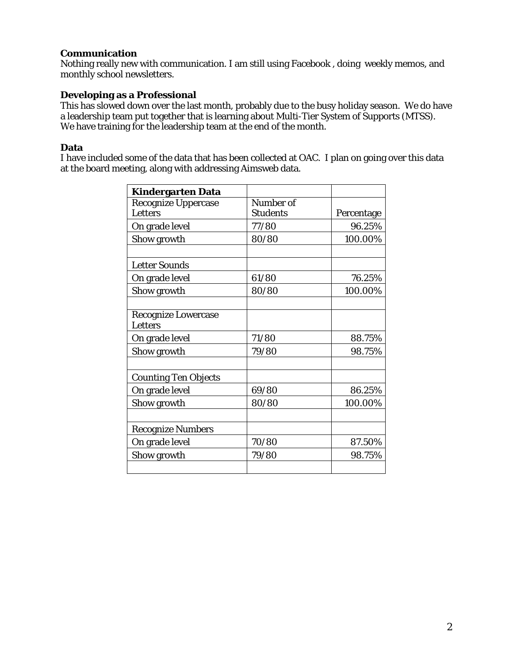# **Communication**

Nothing really new with communication. I am still using Facebook , doing weekly memos, and monthly school newsletters.

# **Developing as a Professional**

This has slowed down over the last month, probably due to the busy holiday season. We do have a leadership team put together that is learning about Multi-Tier System of Supports (MTSS). We have training for the leadership team at the end of the month.

## **Data**

I have included some of the data that has been collected at OAC. I plan on going over this data at the board meeting, along with addressing Aimsweb data.

| Kindergarten Data           |                 |            |
|-----------------------------|-----------------|------------|
| <b>Recognize Uppercase</b>  | Number of       |            |
| Letters                     | <b>Students</b> | Percentage |
| On grade level              | 77/80           | 96.25%     |
| Show growth                 | 80/80           | 100.00%    |
|                             |                 |            |
| <b>Letter Sounds</b>        |                 |            |
| On grade level              | 61/80           | 76.25%     |
| Show growth                 | 80/80           | 100.00%    |
|                             |                 |            |
| Recognize Lowercase         |                 |            |
| <b>Letters</b>              |                 |            |
| On grade level              | 71/80           | 88.75%     |
| Show growth                 | 79/80           | 98.75%     |
|                             |                 |            |
| <b>Counting Ten Objects</b> |                 |            |
| On grade level              | 69/80           | 86.25%     |
| Show growth                 | 80/80           | 100.00%    |
|                             |                 |            |
| <b>Recognize Numbers</b>    |                 |            |
| On grade level              | 70/80           | 87.50%     |
| Show growth                 | 79/80           | 98.75%     |
|                             |                 |            |